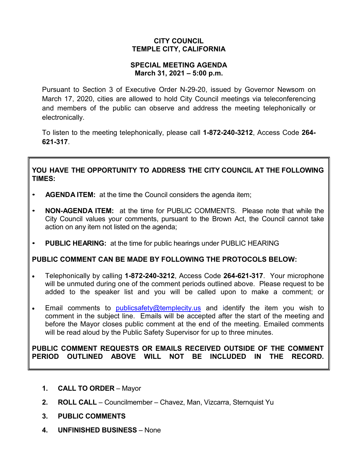## **CITY COUNCIL TEMPLE CITY, CALIFORNIA**

### **SPECIAL MEETING AGENDA March 31, 2021 – 5:00 p.m.**

Pursuant to Section 3 of Executive Order N-29-20, issued by Governor Newsom on March 17, 2020, cities are allowed to hold City Council meetings via teleconferencing and members of the public can observe and address the meeting telephonically or electronically.

To listen to the meeting telephonically, please call **1-872-240-3212**, Access Code **264- 621-317**.

# **YOU HAVE THE OPPORTUNITY TO ADDRESS THE CITY COUNCIL AT THE FOLLOWING TIMES:**

- **AGENDA ITEM:** at the time the Council considers the agenda item;
- **NON-AGENDA ITEM:** at the time for PUBLIC COMMENTS. Please note that while the City Council values your comments, pursuant to the Brown Act, the Council cannot take action on any item not listed on the agenda;
- **PUBLIC HEARING:** at the time for public hearings under PUBLIC HEARING

# **PUBLIC COMMENT CAN BE MADE BY FOLLOWING THE PROTOCOLS BELOW:**

- Telephonically by calling **1-872-240-3212**, Access Code **264-621-317**. Your microphone will be unmuted during one of the comment periods outlined above. Please request to be added to the speaker list and you will be called upon to make a comment; or
- Email comments to [publicsafety@templecity.us](mailto:publicsafety@templecity.us) and identify the item you wish to comment in the subject line. Emails will be accepted after the start of the meeting and before the Mayor closes public comment at the end of the meeting. Emailed comments will be read aloud by the Public Safety Supervisor for up to three minutes.

#### **PUBLIC COMMENT REQUESTS OR EMAILS RECEIVED OUTSIDE OF THE COMMENT PERIOD OUTLINED ABOVE WILL NOT BE INCLUDED IN THE RECORD.**

- **1. CALL TO ORDER** Mayor
- **2. ROLL CALL** Councilmember Chavez, Man, Vizcarra, Sternquist Yu
- **3. PUBLIC COMMENTS**
- **4. UNFINISHED BUSINESS** None